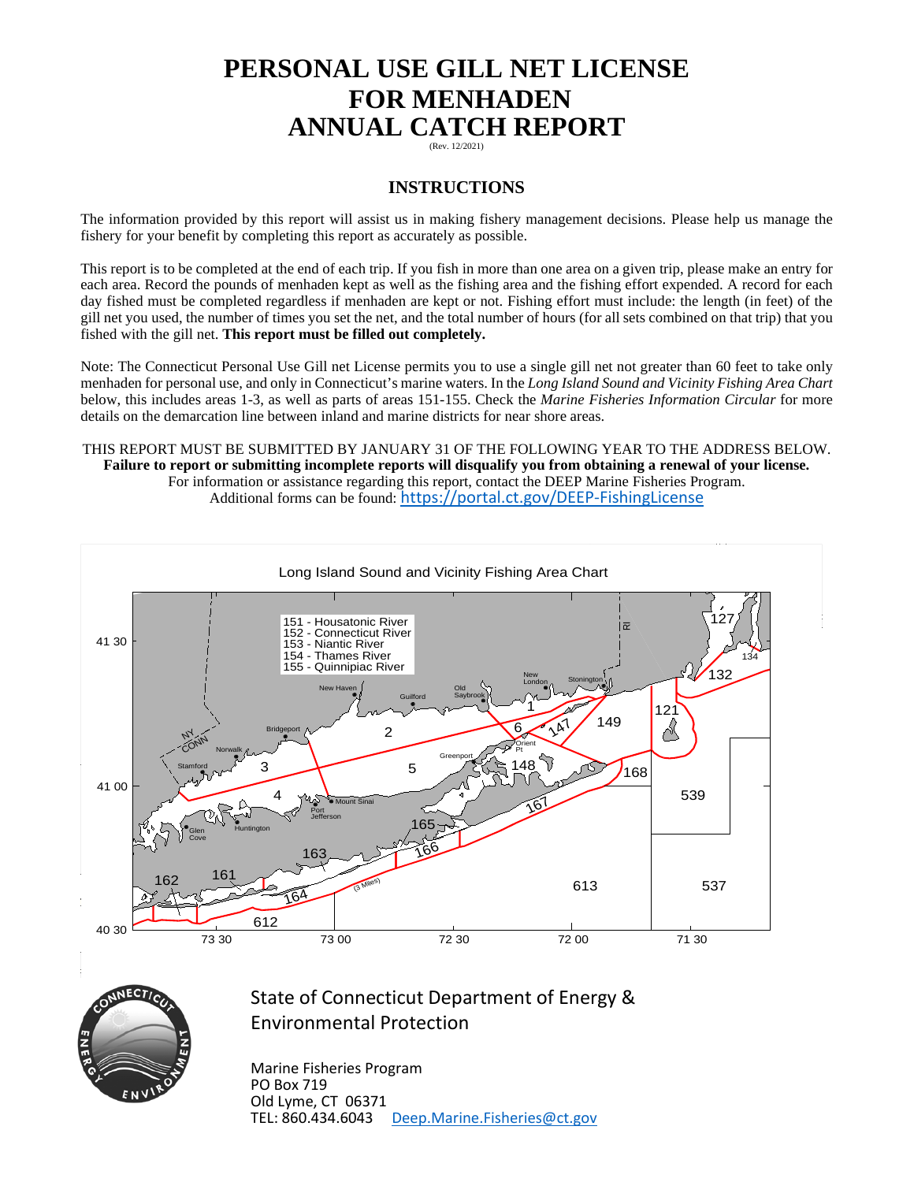# **PERSONAL USE GILL NET LICENSE FOR MENHADEN ANNUAL CATCH REPORT**

(Rev. 12/2021)

#### **INSTRUCTIONS**

The information provided by this report will assist us in making fishery management decisions. Please help us manage the fishery for your benefit by completing this report as accurately as possible.

This report is to be completed at the end of each trip. If you fish in more than one area on a given trip, please make an entry for each area. Record the pounds of menhaden kept as well as the fishing area and the fishing effort expended. A record for each day fished must be completed regardless if menhaden are kept or not. Fishing effort must include: the length (in feet) of the gill net you used, the number of times you set the net, and the total number of hours (for all sets combined on that trip) that you fished with the gill net. **This report must be filled out completely.**

Note: The Connecticut Personal Use Gill net License permits you to use a single gill net not greater than 60 feet to take only menhaden for personal use, and only in Connecticut's marine waters. In the *Long Island Sound and Vicinity Fishing Area Chart* below, this includes areas 1-3, as well as parts of areas 151-155. Check the *Marine Fisheries Information Circular* for more details on the demarcation line between inland and marine districts for near shore areas.

THIS REPORT MUST BE SUBMITTED BY JANUARY 31 OF THE FOLLOWING YEAR TO THE ADDRESS BELOW. **Failure to report or submitting incomplete reports will disqualify you from obtaining a renewal of your license.** For information or assistance regarding this report, contact the DEEP Marine Fisheries Program. Additional forms can be found: <https://portal.ct.gov/DEEP-FishingLicense>





### State of Connecticut Department of Energy & Environmental Protection

Marine Fisheries Program PO Box 719 Old Lyme, CT 06371 TEL: 860.434.6043 [Deep.Marine.Fisheries@ct.gov](mailto:Deep.Marine.Fisheries@ct.gov)